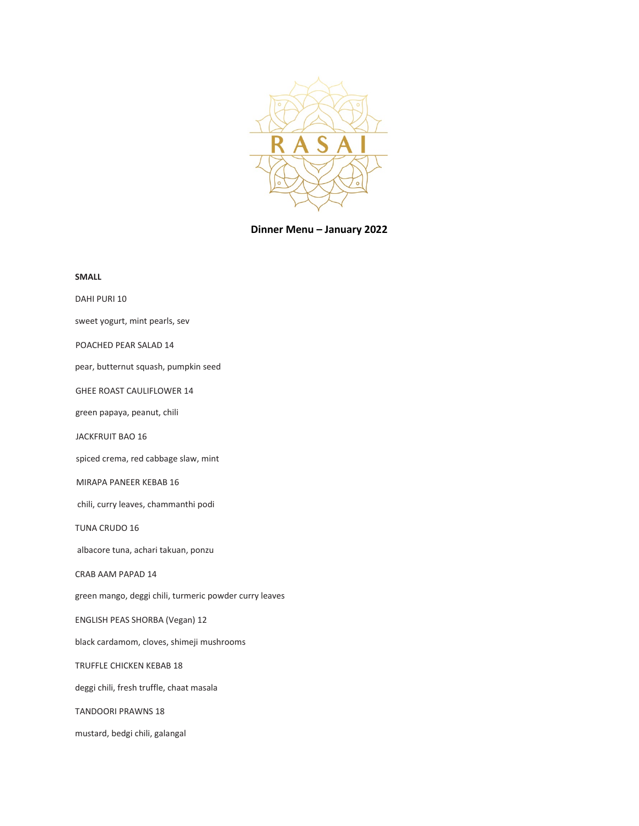

**Dinner Menu – January 2022**

| <b>SMALL</b>                                           |
|--------------------------------------------------------|
| DAHI PURI 10                                           |
| sweet yogurt, mint pearls, sev                         |
| POACHED PEAR SALAD 14                                  |
| pear, butternut squash, pumpkin seed                   |
| <b>GHEE ROAST CAULIFLOWER 14</b>                       |
| green papaya, peanut, chili                            |
| JACKFRUIT BAO 16                                       |
| spiced crema, red cabbage slaw, mint                   |
| MIRAPA PANEER KEBAB 16                                 |
| chili, curry leaves, chammanthi podi                   |
| <b>TUNA CRUDO 16</b>                                   |
| albacore tuna, achari takuan, ponzu                    |
| CRAB AAM PAPAD 14                                      |
| green mango, deggi chili, turmeric powder curry leaves |
| <b>ENGLISH PEAS SHORBA (Vegan) 12</b>                  |
| black cardamom, cloves, shimeji mushrooms              |
| <b>TRUFFLE CHICKEN KEBAB 18</b>                        |
| deggi chili, fresh truffle, chaat masala               |
| <b>TANDOORI PRAWNS 18</b>                              |
| mustard, bedgi chili, galangal                         |